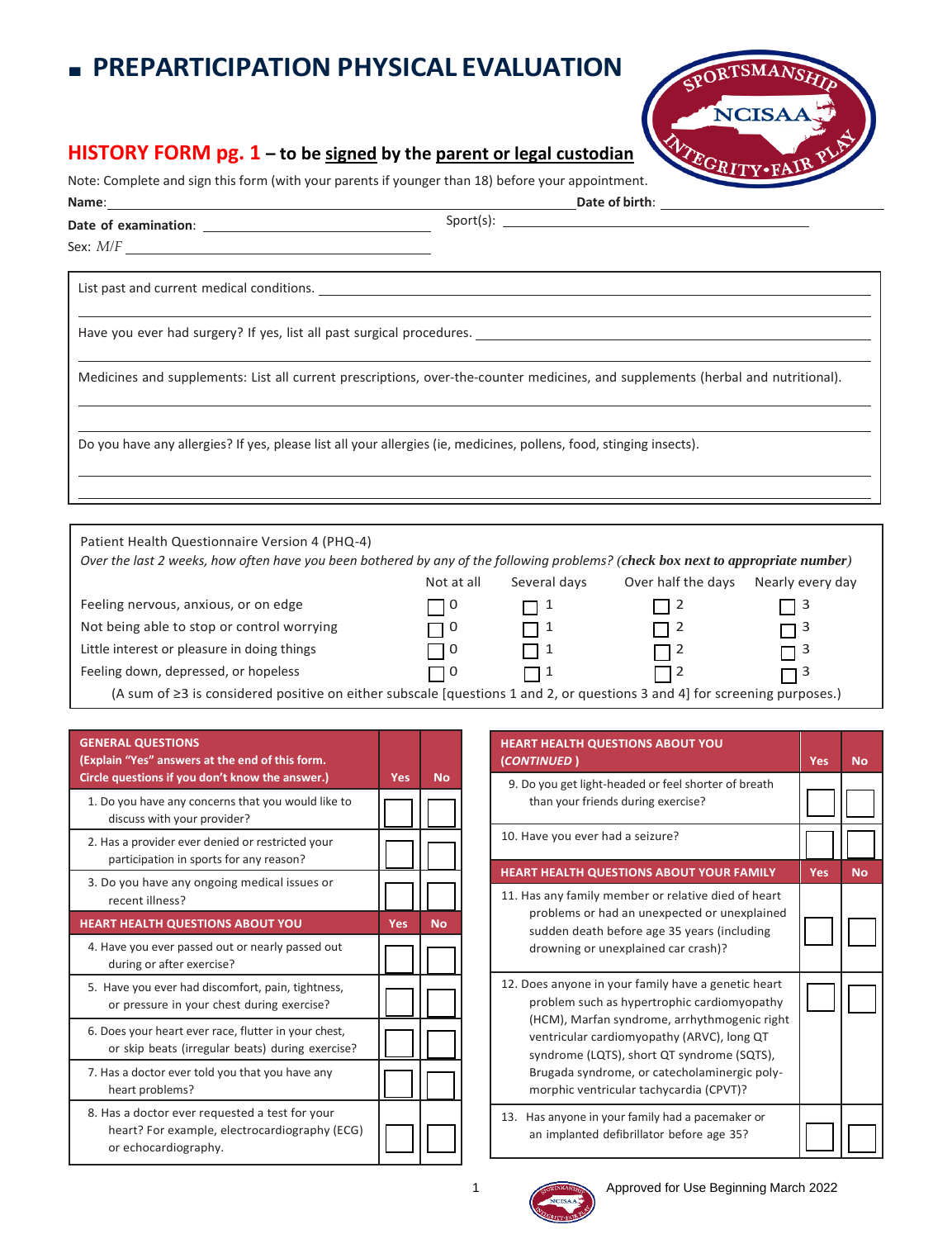## ■ **PREPARTICIPATION PHYSICAL EVALUATION**

## **HISTORY FORM pg. 1 – to be signed by the parent or legal custodian**

Note: Complete and sign this form (with your parents if younger than 18) before your appointment.

| ${\sf Sport(s):} \begin{tabular}{ l l } \hline \multicolumn{3}{ l }{3} & \multicolumn{3}{ l }{5} & \multicolumn{3}{ l }{5} & \multicolumn{3}{ l }{5} & \multicolumn{3}{ l }{5} & \multicolumn{3}{ l }{5} & \multicolumn{3}{ l }{5} & \multicolumn{3}{ l }{5} & \multicolumn{3}{ l }{5} & \multicolumn{3}{ l }{5} & \multicolumn{3}{ l }{5} & \multicolumn{3}{ l }{5} & \multicolumn{3}{ l }{5} & \multicolumn{3}{ l }{5} & \multic$ |
|-------------------------------------------------------------------------------------------------------------------------------------------------------------------------------------------------------------------------------------------------------------------------------------------------------------------------------------------------------------------------------------------------------------------------------------|
|                                                                                                                                                                                                                                                                                                                                                                                                                                     |
|                                                                                                                                                                                                                                                                                                                                                                                                                                     |
|                                                                                                                                                                                                                                                                                                                                                                                                                                     |
| Medicines and supplements: List all current prescriptions, over-the-counter medicines, and supplements (herbal and nutritional).                                                                                                                                                                                                                                                                                                    |
| Do you have any allergies? If yes, please list all your allergies (ie, medicines, pollens, food, stinging insects).                                                                                                                                                                                                                                                                                                                 |
|                                                                                                                                                                                                                                                                                                                                                                                                                                     |
|                                                                                                                                                                                                                                                                                                                                                                                                                                     |

| Patient Health Questionnaire Version 4 (PHQ-4)                                                                                   |            |              |                    |                  |  |  |  |  |
|----------------------------------------------------------------------------------------------------------------------------------|------------|--------------|--------------------|------------------|--|--|--|--|
| Over the last 2 weeks, how often have you been bothered by any of the following problems? (check box next to appropriate number) |            |              |                    |                  |  |  |  |  |
|                                                                                                                                  | Not at all | Several days | Over half the days | Nearly every day |  |  |  |  |
| Feeling nervous, anxious, or on edge                                                                                             | l 10       | $\Box$ 1     | l 12               | $\Box$ 3         |  |  |  |  |
| Not being able to stop or control worrying                                                                                       | □ 0        | $\Box$ 1     | $\Box$ 2           | $\Box$ 3         |  |  |  |  |
| Little interest or pleasure in doing things                                                                                      | II 0       | $\Box$ 1     | $\Box$ 2           | $\Box$ 3         |  |  |  |  |
| Feeling down, depressed, or hopeless                                                                                             | $\Box$ 0   | $\Box$       | $\Box$ 2           | □                |  |  |  |  |
| (A sum of $\geq$ 3 is considered positive on either subscale [questions 1 and 2, or questions 3 and 4] for screening purposes.)  |            |              |                    |                  |  |  |  |  |

| <b>GENERAL QUESTIONS</b><br>(Explain "Yes" answers at the end of this form.<br>Circle questions if you don't know the answer.) | Yes        | <b>No</b> |
|--------------------------------------------------------------------------------------------------------------------------------|------------|-----------|
| 1. Do you have any concerns that you would like to<br>discuss with your provider?                                              |            |           |
| 2. Has a provider ever denied or restricted your<br>participation in sports for any reason?                                    |            |           |
| 3. Do you have any ongoing medical issues or<br>recent illness?                                                                |            |           |
| <b>HEART HEALTH QUESTIONS ABOUT YOU</b>                                                                                        | <b>Yes</b> | <b>No</b> |
| 4. Have you ever passed out or nearly passed out<br>during or after exercise?                                                  |            |           |
| 5. Have you ever had discomfort, pain, tightness,<br>or pressure in your chest during exercise?                                |            |           |
| 6. Does your heart ever race, flutter in your chest,<br>or skip beats (irregular beats) during exercise?                       |            |           |
| 7. Has a doctor ever told you that you have any<br>heart problems?                                                             |            |           |
| 8. Has a doctor ever requested a test for your                                                                                 |            |           |

| <b>HEART HEALTH QUESTIONS ABOUT YOU</b><br>(CONTINUED)                                                                                                                                                                                                                                                                                    | <b>Yes</b> | <b>No</b> |
|-------------------------------------------------------------------------------------------------------------------------------------------------------------------------------------------------------------------------------------------------------------------------------------------------------------------------------------------|------------|-----------|
| 9. Do you get light-headed or feel shorter of breath<br>than your friends during exercise?                                                                                                                                                                                                                                                |            |           |
| 10. Have you ever had a seizure?                                                                                                                                                                                                                                                                                                          |            |           |
| <b>HEART HEALTH QUESTIONS ABOUT YOUR FAMILY</b>                                                                                                                                                                                                                                                                                           | Yes        | <b>No</b> |
| 11. Has any family member or relative died of heart<br>problems or had an unexpected or unexplained<br>sudden death before age 35 years (including<br>drowning or unexplained car crash)?                                                                                                                                                 |            |           |
| 12. Does anyone in your family have a genetic heart<br>problem such as hypertrophic cardiomyopathy<br>(HCM), Marfan syndrome, arrhythmogenic right<br>ventricular cardiomyopathy (ARVC), long QT<br>syndrome (LQTS), short QT syndrome (SQTS),<br>Brugada syndrome, or catecholaminergic poly-<br>morphic ventricular tachycardia (CPVT)? |            |           |
| 13.<br>Has anyone in your family had a pacemaker or<br>an implanted defibrillator before age 35?                                                                                                                                                                                                                                          |            |           |

**NCISA** 

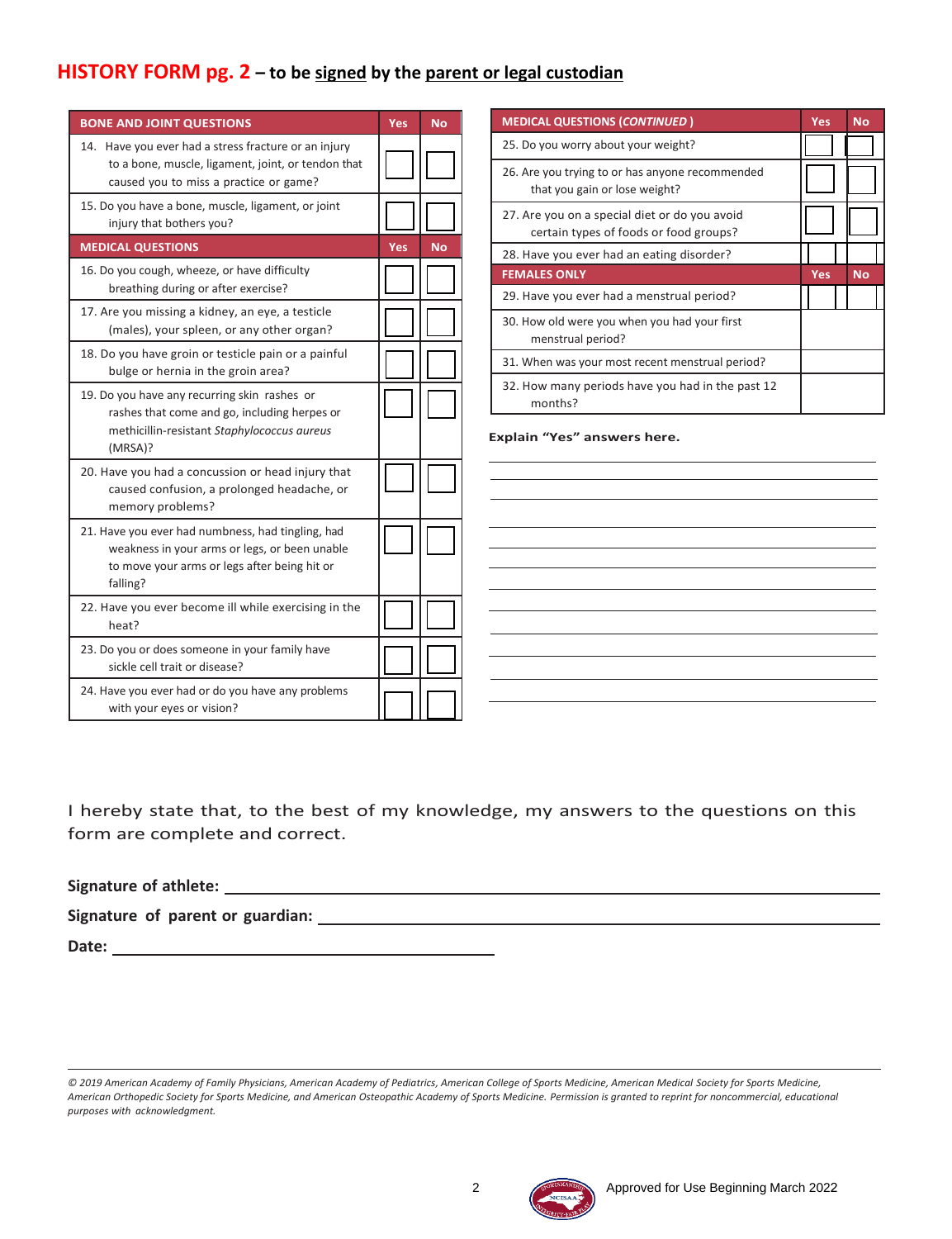### **HISTORY FORM pg. 2 – to be signed by the parent or legal custodian**

| <b>BONE AND JOINT QUESTIONS</b>                                                                                                                                | <b>Yes</b> | No        | <b>MEDICAL QUESTIONS (CONTINUED)</b>                                                    | <b>Yes</b> | <b>No</b> |
|----------------------------------------------------------------------------------------------------------------------------------------------------------------|------------|-----------|-----------------------------------------------------------------------------------------|------------|-----------|
| 14. Have you ever had a stress fracture or an injury                                                                                                           |            |           | 25. Do you worry about your weight?                                                     |            |           |
| to a bone, muscle, ligament, joint, or tendon that<br>caused you to miss a practice or game?                                                                   |            |           | 26. Are you trying to or has anyone recommended<br>that you gain or lose weight?        |            |           |
| 15. Do you have a bone, muscle, ligament, or joint<br>injury that bothers you?                                                                                 |            |           | 27. Are you on a special diet or do you avoid<br>certain types of foods or food groups? |            |           |
| <b>MEDICAL QUESTIONS</b>                                                                                                                                       | <b>Yes</b> | <b>No</b> | 28. Have you ever had an eating disorder?                                               |            |           |
| 16. Do you cough, wheeze, or have difficulty<br>breathing during or after exercise?                                                                            |            |           | <b>FEMALES ONLY</b>                                                                     | Yes        | <b>No</b> |
|                                                                                                                                                                |            |           | 29. Have you ever had a menstrual period?                                               |            |           |
| 17. Are you missing a kidney, an eye, a testicle<br>(males), your spleen, or any other organ?                                                                  |            |           | 30. How old were you when you had your first<br>menstrual period?                       |            |           |
| 18. Do you have groin or testicle pain or a painful<br>bulge or hernia in the groin area?                                                                      |            |           | 31. When was your most recent menstrual period?                                         |            |           |
| 19. Do you have any recurring skin rashes or<br>rashes that come and go, including herpes or                                                                   |            |           | 32. How many periods have you had in the past 12<br>months?                             |            |           |
| methicillin-resistant Staphylococcus aureus<br>(MRSA)?                                                                                                         |            |           | Explain "Yes" answers here.                                                             |            |           |
| 20. Have you had a concussion or head injury that<br>caused confusion, a prolonged headache, or<br>memory problems?                                            |            |           |                                                                                         |            |           |
| 21. Have you ever had numbness, had tingling, had<br>weakness in your arms or legs, or been unable<br>to move your arms or legs after being hit or<br>falling? |            |           |                                                                                         |            |           |
| 22. Have you ever become ill while exercising in the<br>heat?                                                                                                  |            |           |                                                                                         |            |           |
| 23. Do you or does someone in your family have<br>sickle cell trait or disease?                                                                                |            |           |                                                                                         |            |           |
| 24. Have you ever had or do you have any problems<br>with your eyes or vision?                                                                                 |            |           |                                                                                         |            |           |

I hereby state that, to the best of my knowledge, my answers to the questions on this form are complete and correct.

**Signature of athlete:**

**Signature of parent or guardian:**

**Date:**

*<sup>© 2019</sup> American Academy of Family Physicians, American Academy of Pediatrics, American College of Sports Medicine, American Medical Society for Sports Medicine, American Orthopedic Society for Sports Medicine, and American Osteopathic Academy of Sports Medicine. Permission is granted to reprint for noncommercial, educational purposes with acknowledgment.*

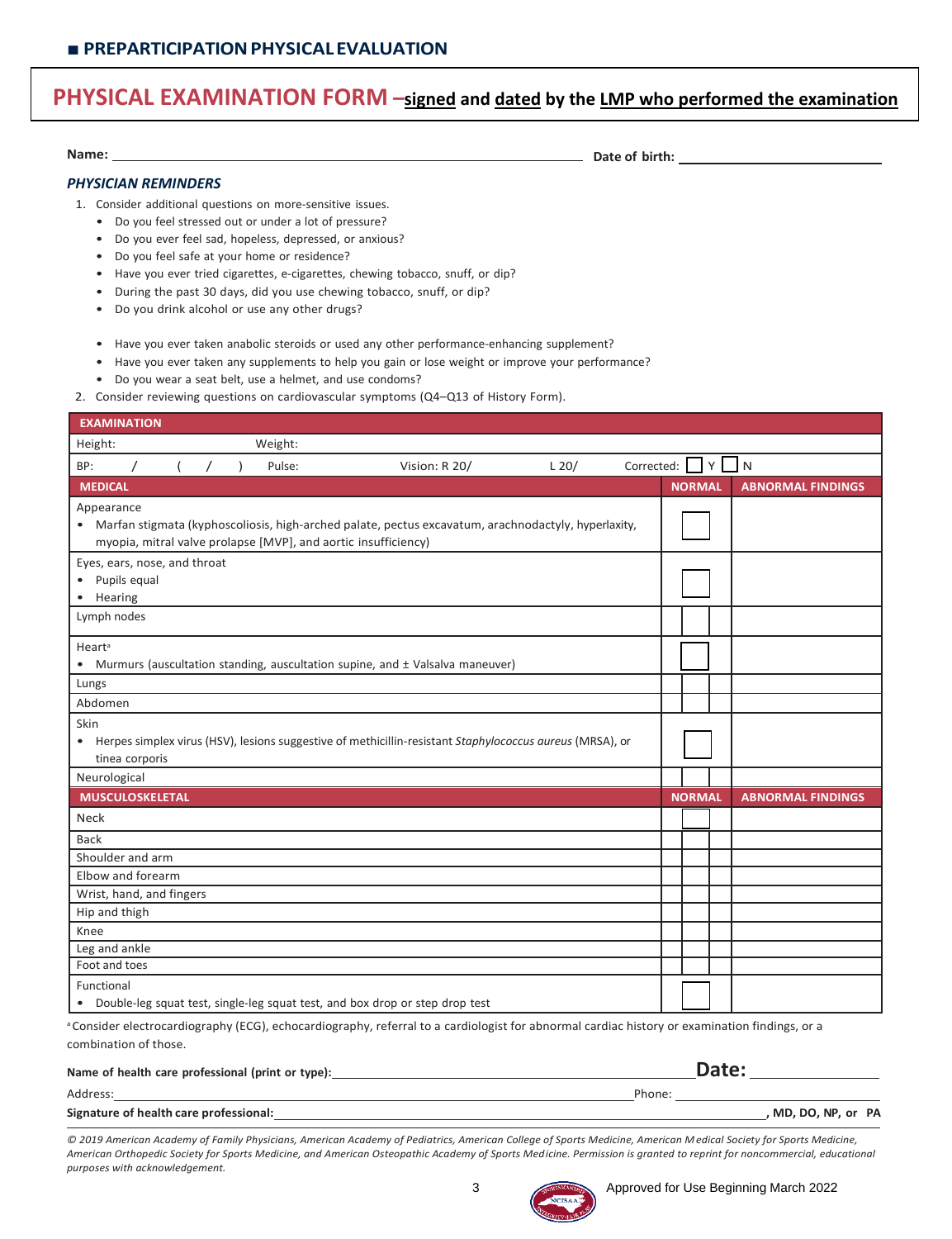## **PHYSICAL EXAMINATION FORM –signed and dated by the LMP who performed the examination**

**Name: Date of birth:**

### *PHYSICIAN REMINDERS*

1. Consider additional questions on more-sensitive issues.

- Do you feel stressed out or under a lot of pressure?
- Do you ever feel sad, hopeless, depressed, or anxious?
- Do you feel safe at your home or residence?
- Have you ever tried cigarettes, e-cigarettes, chewing tobacco, snuff, or dip?
- During the past 30 days, did you use chewing tobacco, snuff, or dip?
- Do you drink alcohol or use any other drugs?
- Have you ever taken anabolic steroids or used any other performance-enhancing supplement?
- Have you ever taken any supplements to help you gain or lose weight or improve your performance?
- Do you wear a seat belt, use a helmet, and use condoms?
- 2. Consider reviewing questions on cardiovascular symptoms (Q4–Q13 of History Form).

| <b>EXAMINATION</b>       |                |                              |  |                                                                                                                                                                         |  |               |  |         |                                    |               |  |                          |  |
|--------------------------|----------------|------------------------------|--|-------------------------------------------------------------------------------------------------------------------------------------------------------------------------|--|---------------|--|---------|------------------------------------|---------------|--|--------------------------|--|
| Height:                  |                |                              |  | Weight:                                                                                                                                                                 |  |               |  |         |                                    |               |  |                          |  |
| BP:                      | $\prime$       | $\overline{ }$               |  | Pulse:                                                                                                                                                                  |  | Vision: R 20/ |  | $L$ 20/ | Corrected: $\bigcup Y$ $\bigcup N$ |               |  |                          |  |
| <b>MEDICAL</b>           |                |                              |  |                                                                                                                                                                         |  |               |  |         |                                    | <b>NORMAL</b> |  | <b>ABNORMAL FINDINGS</b> |  |
| Appearance               |                |                              |  | • Marfan stigmata (kyphoscoliosis, high-arched palate, pectus excavatum, arachnodactyly, hyperlaxity,<br>myopia, mitral valve prolapse [MVP], and aortic insufficiency) |  |               |  |         |                                    |               |  |                          |  |
| • Hearing                | Pupils equal   | Eyes, ears, nose, and throat |  |                                                                                                                                                                         |  |               |  |         |                                    |               |  |                          |  |
| Lymph nodes              |                |                              |  |                                                                                                                                                                         |  |               |  |         |                                    |               |  |                          |  |
| Heart <sup>a</sup><br>٠  |                |                              |  | Murmurs (auscultation standing, auscultation supine, and ± Valsalva maneuver)                                                                                           |  |               |  |         |                                    |               |  |                          |  |
| Lungs                    |                |                              |  |                                                                                                                                                                         |  |               |  |         |                                    |               |  |                          |  |
| Abdomen                  |                |                              |  |                                                                                                                                                                         |  |               |  |         |                                    |               |  |                          |  |
| Skin                     | tinea corporis |                              |  | • Herpes simplex virus (HSV), lesions suggestive of methicillin-resistant Staphylococcus aureus (MRSA), or                                                              |  |               |  |         |                                    |               |  |                          |  |
| Neurological             |                |                              |  |                                                                                                                                                                         |  |               |  |         |                                    |               |  |                          |  |
| <b>MUSCULOSKELETAL</b>   |                |                              |  |                                                                                                                                                                         |  |               |  |         |                                    | <b>NORMAL</b> |  | <b>ABNORMAL FINDINGS</b> |  |
| Neck                     |                |                              |  |                                                                                                                                                                         |  |               |  |         |                                    |               |  |                          |  |
| <b>Back</b>              |                |                              |  |                                                                                                                                                                         |  |               |  |         |                                    |               |  |                          |  |
| Shoulder and arm         |                |                              |  |                                                                                                                                                                         |  |               |  |         |                                    |               |  |                          |  |
| Elbow and forearm        |                |                              |  |                                                                                                                                                                         |  |               |  |         |                                    |               |  |                          |  |
| Wrist, hand, and fingers |                |                              |  |                                                                                                                                                                         |  |               |  |         |                                    |               |  |                          |  |
| Hip and thigh            |                |                              |  |                                                                                                                                                                         |  |               |  |         |                                    |               |  |                          |  |
| Knee                     |                |                              |  |                                                                                                                                                                         |  |               |  |         |                                    |               |  |                          |  |
| Leg and ankle            |                |                              |  |                                                                                                                                                                         |  |               |  |         |                                    |               |  |                          |  |
| Foot and toes            |                |                              |  |                                                                                                                                                                         |  |               |  |         |                                    |               |  |                          |  |
| Functional               |                |                              |  |                                                                                                                                                                         |  |               |  |         |                                    |               |  |                          |  |
|                          |                |                              |  | Double-leg squat test, single-leg squat test, and box drop or step drop test                                                                                            |  |               |  |         |                                    |               |  |                          |  |
|                          |                |                              |  | Consider electrocardiography (ECG), echocardiography, referral to a cardiologist for abnormal cardiac bistory or examination findings, or a                             |  |               |  |         |                                    |               |  |                          |  |

Consider electrocardiography (ECG), echocardiography, referral to a cardiologist for abnormal cardiac history or examination findings, or a combination of those.

| Name of health care professional (print or type): | Date:               |
|---------------------------------------------------|---------------------|
| Address:                                          | Phone:              |
| Signature of health care professional:            | , MD, DO, NP, or PA |

*© 2019 American Academy of Family Physicians, American Academy of Pediatrics, American College of Sports Medicine, American Medical Society for Sports Medicine, American Orthopedic Society for Sports Medicine, and American Osteopathic Academy of Sports Medicine. Permission is granted to reprint for noncommercial, educational purposes with acknowledgement.*